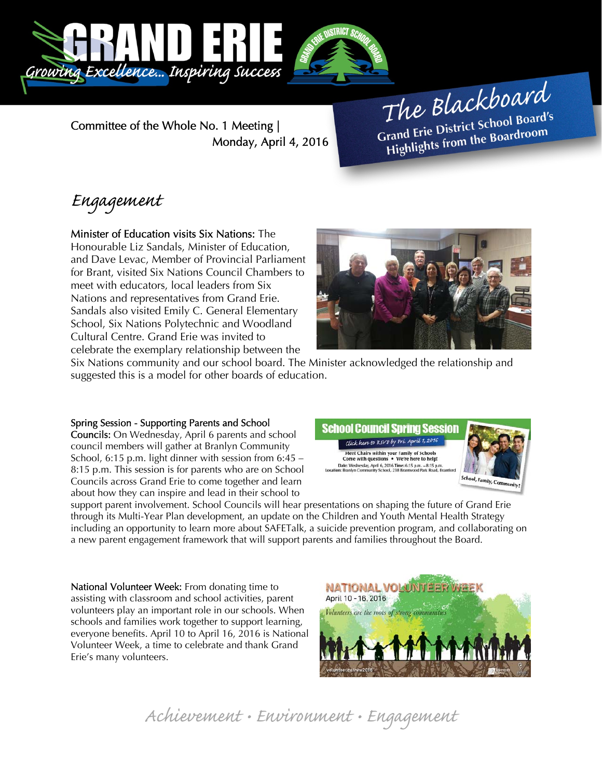

The Blackboard The Burnor<br>Grand Erie District School Board's<br>Little from the Boardroom Committee of the Whole No. 1 Meeting | rand Erie District School Board<br>Highlights from the Boardroom Monday, April 4, 2016

## Engagement

Minister of Education visits Six Nations: The Honourable Liz Sandals, Minister of Education, and Dave Levac, Member of Provincial Parliament for Brant, visited Six Nations Council Chambers to meet with educators, local leaders from Six Nations and representatives from Grand Erie. Sandals also visited Emily C. General Elementary School, Six Nations Polytechnic and Woodland Cultural Centre. Grand Erie was invited to celebrate the exemplary relationship between the



Six Nations community and our school board. The Minister acknowledged the relationship and suggested this is a model for other boards of education.

## Spring Session - Supporting Parents and School

Councils: On Wednesday, April 6 parents and school council members will gather at Branlyn Community School, 6:15 p.m. light dinner with session from 6:45 – 8:15 p.m. This session is for parents who are on School Councils across Grand Erie to come together and learn about how they can inspire and lead in their school to



support parent involvement. School Councils will hear presentations on shaping the future of Grand Erie through its Multi-Year Plan development, an update on the Children and Youth Mental Health Strategy including an opportunity to learn more about SAFETalk, a suicide prevention program, and collaborating on a new parent engagement framework that will support parents and families throughout the Board.

National Volunteer Week: From donating time to assisting with classroom and school activities, parent volunteers play an important role in our schools. When schools and families work together to support learning, everyone benefits. April 10 to April 16, 2016 is National Volunteer Week, a time to celebrate and thank Grand Erie's many volunteers.



Achievement • Environment • Engagement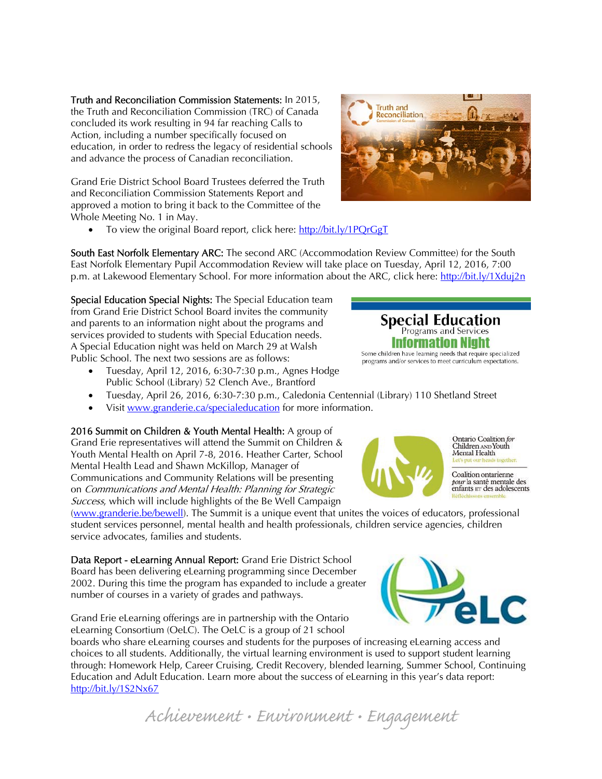Truth and Reconciliation Commission Statements: In 2015, the Truth and Reconciliation Commission (TRC) of Canada concluded its work resulting in 94 far reaching Calls to Action, including a number specifically focused on education, in order to redress the legacy of residential schools and advance the process of Canadian reconciliation.

Grand Erie District School Board Trustees deferred the Truth and Reconciliation Commission Statements Report and approved a motion to bring it back to the Committee of the Whole Meeting No. 1 in May.



Special Education **Programs and Services** Information Night Some children have learning needs that require specialized programs and/or services to meet curriculum expectations.

• To view the original Board report, click here: http://bit.ly/1PQrGgT

South East Norfolk Elementary ARC: The second ARC (Accommodation Review Committee) for the South East Norfolk Elementary Pupil Accommodation Review will take place on Tuesday, April 12, 2016, 7:00 p.m. at Lakewood Elementary School. For more information about the ARC, click here: http://bit.ly/1Xduj2n

Special Education Special Nights: The Special Education team from Grand Erie District School Board invites the community and parents to an information night about the programs and services provided to students with Special Education needs. A Special Education night was held on March 29 at Walsh Public School. The next two sessions are as follows:

- Tuesday, April 12, 2016, 6:30-7:30 p.m., Agnes Hodge Public School (Library) 52 Clench Ave., Brantford
- Tuesday, April 26, 2016, 6:30-7:30 p.m., Caledonia Centennial (Library) 110 Shetland Street
- Visit www.granderie.ca/specialeducation for more information.

2016 Summit on Children & Youth Mental Health: A group of Grand Erie representatives will attend the Summit on Children & Youth Mental Health on April 7-8, 2016. Heather Carter, School Mental Health Lead and Shawn McKillop, Manager of Communications and Community Relations will be presenting on Communications and Mental Health: Planning for Strategic Success, which will include highlights of the Be Well Campaign

(www.granderie.be/bewell). The Summit is a unique event that unites the voices of educators, professional student services personnel, mental health and health professionals, children service agencies, children service advocates, families and students.

Data Report - eLearning Annual Report: Grand Erie District School Board has been delivering eLearning programming since December 2002. During this time the program has expanded to include a greater number of courses in a variety of grades and pathways.

Grand Erie eLearning offerings are in partnership with the Ontario eLearning Consortium (OeLC). The OeLC is a group of 21 school

boards who share eLearning courses and students for the purposes of increasing eLearning access and choices to all students. Additionally, the virtual learning environment is used to support student learning through: Homework Help, Career Cruising, Credit Recovery, blended learning, Summer School, Continuing Education and Adult Education. Learn more about the success of eLearning in this year's data report: http://bit.ly/1S2Nx67





Ontario Coalition for Children AND Youth<br>Mental Health

Coalition ontarienne pour la santé mentale des enfants ET des adolescents